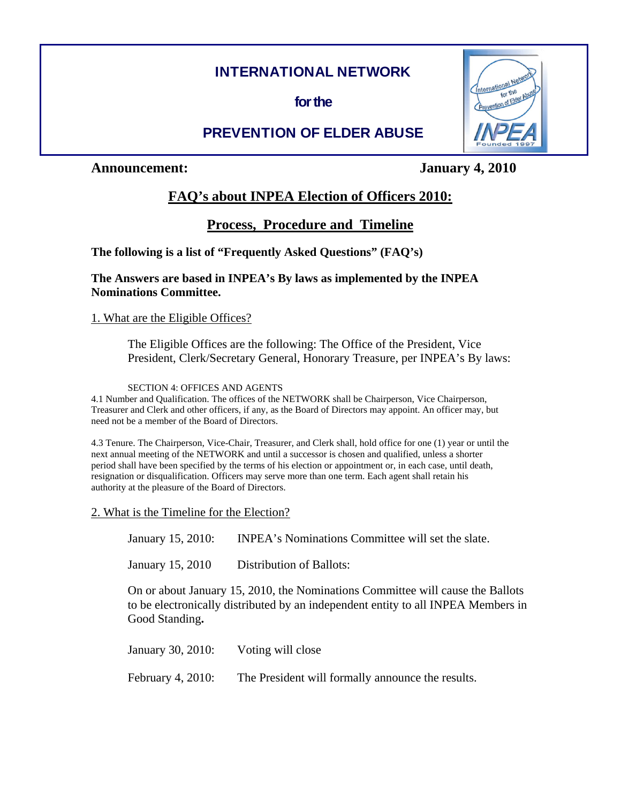# INTERNATIONAL NETWORK

**for the**

# PREVENTION OF ELDER ABUSE

# **Announcement: January 4, 2010**

# International Network for the for the<br>For the Aby

# **FAQ's about INPEA Election of Officers 2010:**

# **Process, Procedure and Timeline**

**The following is a list of "Frequently Asked Questions" (FAQ's)** 

## **The Answers are based in INPEA's By laws as implemented by the INPEA Nominations Committee.**

## 1. What are the Eligible Offices?

The Eligible Offices are the following: The Office of the President, Vice President, Clerk/Secretary General, Honorary Treasure, per INPEA's By laws:

SECTION 4: OFFICES AND AGENTS

4.1 Number and Qualification. The offices of the NETWORK shall be Chairperson, Vice Chairperson, Treasurer and Clerk and other officers, if any, as the Board of Directors may appoint. An officer may, but need not be a member of the Board of Directors.

4.3 Tenure. The Chairperson, Vice-Chair, Treasurer, and Clerk shall, hold office for one (1) year or until the next annual meeting of the NETWORK and until a successor is chosen and qualified, unless a shorter period shall have been specified by the terms of his election or appointment or, in each case, until death, resignation or disqualification. Officers may serve more than one term. Each agent shall retain his authority at the pleasure of the Board of Directors.

# 2. What is the Timeline for the Election?

| January 15, 2010:                                                                                                                                                                     | INPEA's Nominations Committee will set the slate. |
|---------------------------------------------------------------------------------------------------------------------------------------------------------------------------------------|---------------------------------------------------|
| January 15, 2010                                                                                                                                                                      | <b>Distribution of Ballots:</b>                   |
| On or about January 15, 2010, the Nominations Committee will cause the Ballots<br>to be electronically distributed by an independent entity to all INPEA Members in<br>Good Standing. |                                                   |
| January 30, 2010:                                                                                                                                                                     | Voting will close                                 |
|                                                                                                                                                                                       |                                                   |

February 4, 2010: The President will formally announce the results.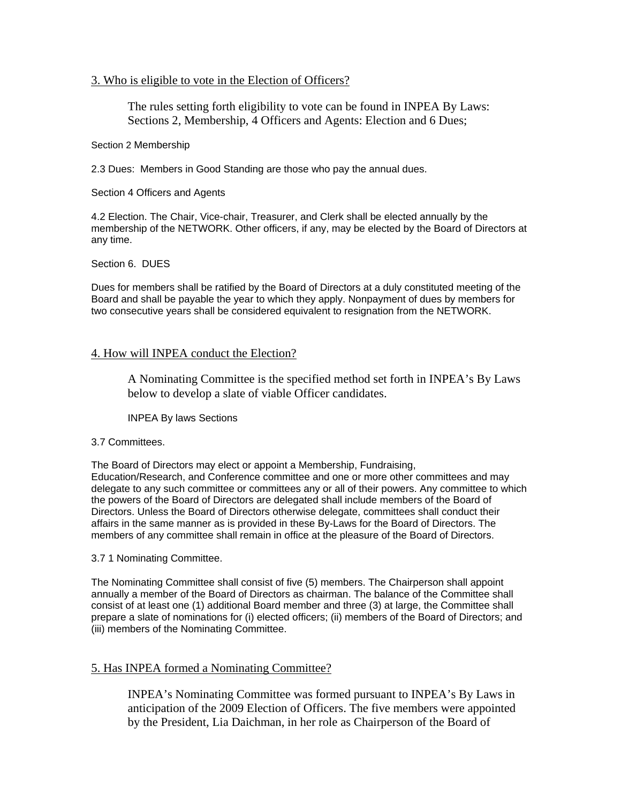#### 3. Who is eligible to vote in the Election of Officers?

 The rules setting forth eligibility to vote can be found in INPEA By Laws: Sections 2, Membership, 4 Officers and Agents: Election and 6 Dues;

#### Section 2 Membership

2.3 Dues: Members in Good Standing are those who pay the annual dues.

Section 4 Officers and Agents

4.2 Election. The Chair, Vice-chair, Treasurer, and Clerk shall be elected annually by the membership of the NETWORK. Other officers, if any, may be elected by the Board of Directors at any time.

#### Section 6. DUES

Dues for members shall be ratified by the Board of Directors at a duly constituted meeting of the Board and shall be payable the year to which they apply. Nonpayment of dues by members for two consecutive years shall be considered equivalent to resignation from the NETWORK.

#### 4. How will INPEA conduct the Election?

A Nominating Committee is the specified method set forth in INPEA's By Laws below to develop a slate of viable Officer candidates.

INPEA By laws Sections

#### 3.7 Committees.

The Board of Directors may elect or appoint a Membership, Fundraising, Education/Research, and Conference committee and one or more other committees and may delegate to any such committee or committees any or all of their powers. Any committee to which the powers of the Board of Directors are delegated shall include members of the Board of Directors. Unless the Board of Directors otherwise delegate, committees shall conduct their affairs in the same manner as is provided in these By-Laws for the Board of Directors. The members of any committee shall remain in office at the pleasure of the Board of Directors.

3.7 1 Nominating Committee.

The Nominating Committee shall consist of five (5) members. The Chairperson shall appoint annually a member of the Board of Directors as chairman. The balance of the Committee shall consist of at least one (1) additional Board member and three (3) at large, the Committee shall prepare a slate of nominations for (i) elected officers; (ii) members of the Board of Directors; and (iii) members of the Nominating Committee.

## 5. Has INPEA formed a Nominating Committee?

INPEA's Nominating Committee was formed pursuant to INPEA's By Laws in anticipation of the 2009 Election of Officers. The five members were appointed by the President, Lia Daichman, in her role as Chairperson of the Board of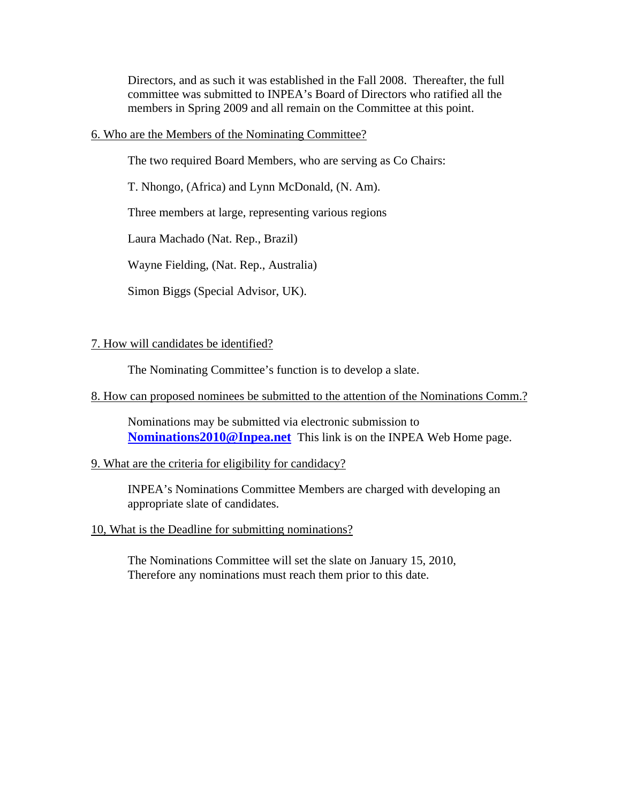Directors, and as such it was established in the Fall 2008. Thereafter, the full committee was submitted to INPEA's Board of Directors who ratified all the members in Spring 2009 and all remain on the Committee at this point.

6. Who are the Members of the Nominating Committee?

The two required Board Members, who are serving as Co Chairs:

T. Nhongo, (Africa) and Lynn McDonald, (N. Am).

Three members at large, representing various regions

Laura Machado (Nat. Rep., Brazil)

Wayne Fielding, (Nat. Rep., Australia)

Simon Biggs (Special Advisor, UK).

#### 7. How will candidates be identified?

The Nominating Committee's function is to develop a slate.

## 8. How can proposed nominees be submitted to the attention of the Nominations Comm.?

Nominations may be submitted via electronic submission to **Nominations2010@Inpea.net** This link is on the INPEA Web Home page.

#### 9. What are the criteria for eligibility for candidacy?

INPEA's Nominations Committee Members are charged with developing an appropriate slate of candidates.

10, What is the Deadline for submitting nominations?

 The Nominations Committee will set the slate on January 15, 2010, Therefore any nominations must reach them prior to this date.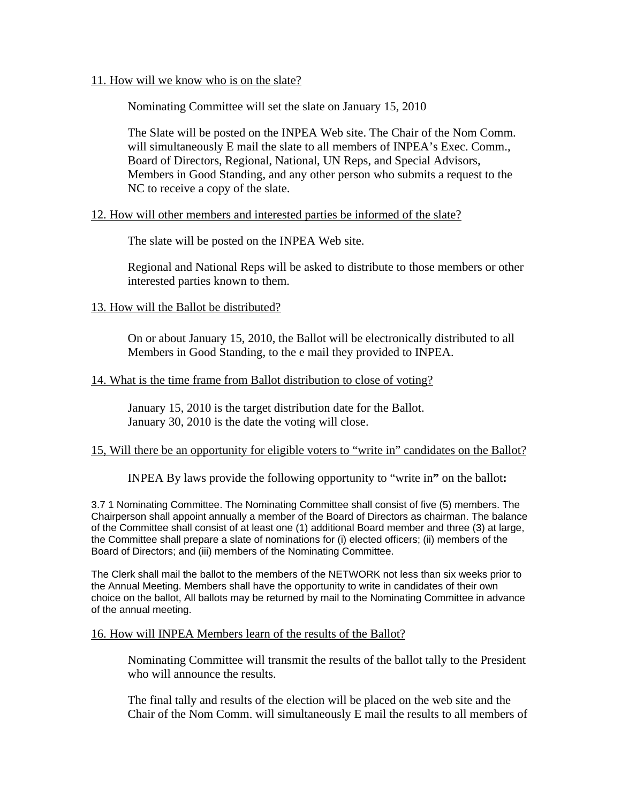11. How will we know who is on the slate?

Nominating Committee will set the slate on January 15, 2010

The Slate will be posted on the INPEA Web site. The Chair of the Nom Comm. will simultaneously E mail the slate to all members of INPEA's Exec. Comm., Board of Directors, Regional, National, UN Reps, and Special Advisors, Members in Good Standing, and any other person who submits a request to the NC to receive a copy of the slate.

#### 12. How will other members and interested parties be informed of the slate?

The slate will be posted on the INPEA Web site.

Regional and National Reps will be asked to distribute to those members or other interested parties known to them.

#### 13. How will the Ballot be distributed?

On or about January 15, 2010, the Ballot will be electronically distributed to all Members in Good Standing, to the e mail they provided to INPEA.

#### 14. What is the time frame from Ballot distribution to close of voting?

January 15, 2010 is the target distribution date for the Ballot. January 30, 2010 is the date the voting will close.

#### 15, Will there be an opportunity for eligible voters to "write in" candidates on the Ballot?

INPEA By laws provide the following opportunity to "write in**"** on the ballot**:** 

3.7 1 Nominating Committee. The Nominating Committee shall consist of five (5) members. The Chairperson shall appoint annually a member of the Board of Directors as chairman. The balance of the Committee shall consist of at least one (1) additional Board member and three (3) at large, the Committee shall prepare a slate of nominations for (i) elected officers; (ii) members of the Board of Directors; and (iii) members of the Nominating Committee.

The Clerk shall mail the ballot to the members of the NETWORK not less than six weeks prior to the Annual Meeting. Members shall have the opportunity to write in candidates of their own choice on the ballot, All ballots may be returned by mail to the Nominating Committee in advance of the annual meeting.

#### 16. How will INPEA Members learn of the results of the Ballot?

Nominating Committee will transmit the results of the ballot tally to the President who will announce the results.

The final tally and results of the election will be placed on the web site and the Chair of the Nom Comm. will simultaneously E mail the results to all members of